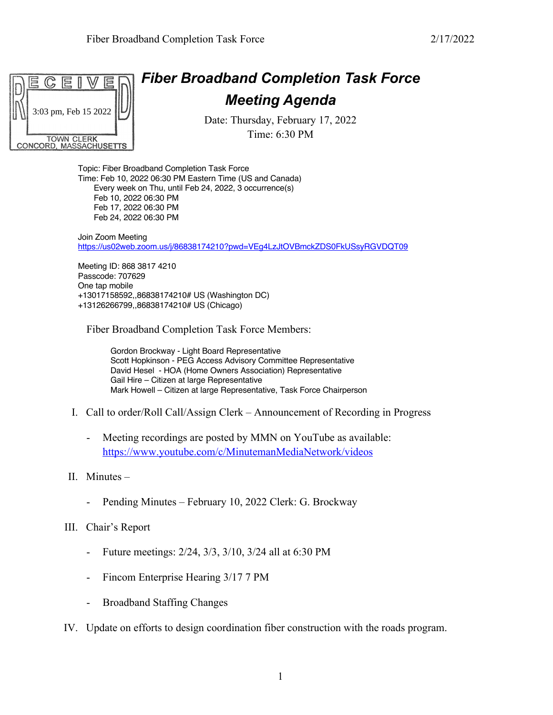

Feb 24, 2022 06:30 PM

Topic: Fiber Broadband Completion Task Force Time: Feb 10, 2022 06:30 PM Eastern Time (US and Canada) Every week on Thu, until Feb 24, 2022, 3 occurrence(s) Feb 10, 2022 06:30 PM Feb 17, 2022 06:30 PM

Join Zoom Meeting https://us02web.zoom.us/j/86838174210?pwd=VEg4LzJtOVBmckZDS0FkUSsyRGVDQT09

Meeting ID: 868 3817 4210 Passcode: 707629 One tap mobile +13017158592,,86838174210# US (Washington DC) +13126266799,,86838174210# US (Chicago)

Fiber Broadband Completion Task Force Members:

Gordon Brockway - Light Board Representative Scott Hopkinson - PEG Access Advisory Committee Representative David Hesel - HOA (Home Owners Association) Representative Gail Hire – Citizen at large Representative Mark Howell – Citizen at large Representative, Task Force Chairperson

- I. Call to order/Roll Call/Assign Clerk Announcement of Recording in Progress
	- Meeting recordings are posted by MMN on YouTube as available: https://www.youtube.com/c/MinutemanMediaNetwork/videos
- II. Minutes
	- Pending Minutes February 10, 2022 Clerk: G. Brockway
- III. Chair's Report
	- Future meetings: 2/24, 3/3, 3/10, 3/24 all at 6:30 PM
	- Fincom Enterprise Hearing 3/17 7 PM
	- Broadband Staffing Changes
- IV. Update on efforts to design coordination fiber construction with the roads program.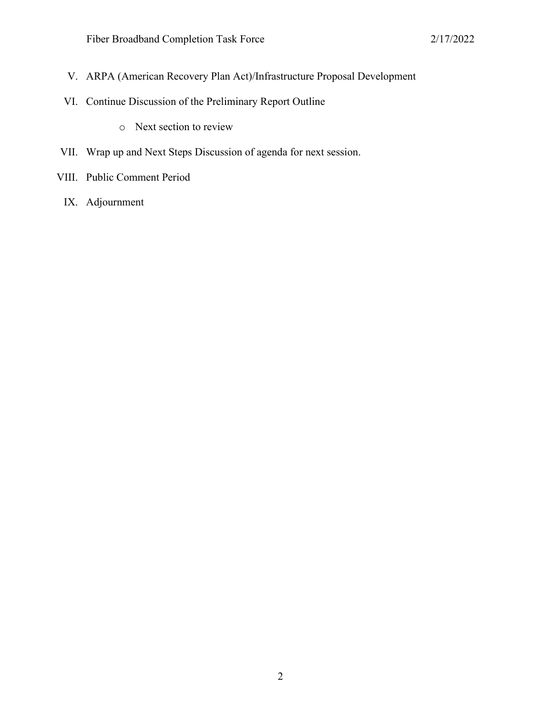- V. ARPA (American Recovery Plan Act)/Infrastructure Proposal Development
- VI. Continue Discussion of the Preliminary Report Outline
	- o Next section to review
- VII. Wrap up and Next Steps Discussion of agenda for next session.
- VIII. Public Comment Period
	- IX. Adjournment